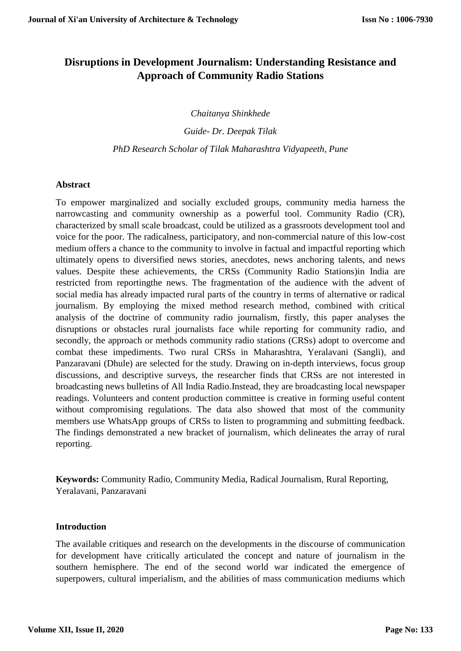# **Disruptions in Development Journalism: Understanding Resistance and Approach of Community Radio Stations**

*Chaitanya Shinkhede*

*Guide- Dr. Deepak Tilak*

*PhD Research Scholar of Tilak Maharashtra Vidyapeeth, Pune*

# **Abstract**

To empower marginalized and socially excluded groups, community media harness the narrowcasting and community ownership as a powerful tool. Community Radio (CR), characterized by small scale broadcast, could be utilized as a grassroots development tool and voice for the poor. The radicalness, participatory, and non-commercial nature of this low-cost medium offers a chance to the community to involve in factual and impactful reporting which ultimately opens to diversified news stories, anecdotes, news anchoring talents, and news values. Despite these achievements, the CRSs (Community Radio Stations)in India are restricted from reportingthe news. The fragmentation of the audience with the advent of social media has already impacted rural parts of the country in terms of alternative or radical journalism. By employing the mixed method research method, combined with critical analysis of the doctrine of community radio journalism, firstly, this paper analyses the disruptions or obstacles rural journalists face while reporting for community radio, and secondly, the approach or methods community radio stations (CRSs) adopt to overcome and combat these impediments. Two rural CRSs in Maharashtra, Yeralavani (Sangli), and Panzaravani (Dhule) are selected for the study. Drawing on in-depth interviews, focus group discussions, and descriptive surveys, the researcher finds that CRSs are not interested in broadcasting news bulletins of All India Radio.Instead, they are broadcasting local newspaper readings. Volunteers and content production committee is creative in forming useful content without compromising regulations. The data also showed that most of the community members use WhatsApp groups of CRSs to listen to programming and submitting feedback. The findings demonstrated a new bracket of journalism, which delineates the array of rural reporting.

**Keywords:** Community Radio, Community Media, Radical Journalism, Rural Reporting, Yeralavani, Panzaravani

# **Introduction**

The available critiques and research on the developments in the discourse of communication for development have critically articulated the concept and nature of journalism in the southern hemisphere. The end of the second world war indicated the emergence of superpowers, cultural imperialism, and the abilities of mass communication mediums which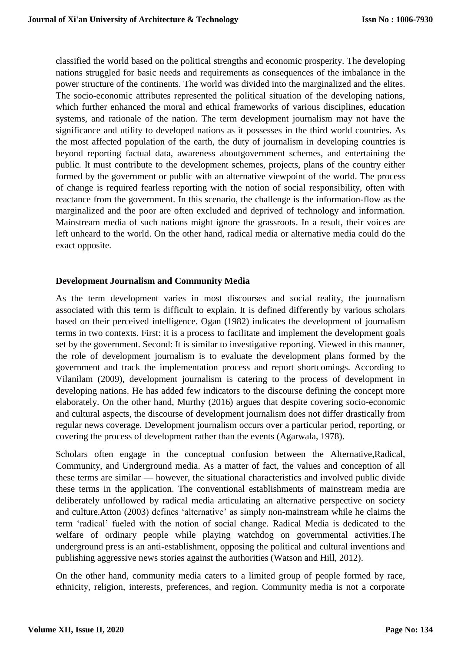classified the world based on the political strengths and economic prosperity. The developing nations struggled for basic needs and requirements as consequences of the imbalance in the power structure of the continents. The world was divided into the marginalized and the elites. The socio-economic attributes represented the political situation of the developing nations, which further enhanced the moral and ethical frameworks of various disciplines, education systems, and rationale of the nation. The term development journalism may not have the significance and utility to developed nations as it possesses in the third world countries. As the most affected population of the earth, the duty of journalism in developing countries is beyond reporting factual data, awareness aboutgovernment schemes, and entertaining the public. It must contribute to the development schemes, projects, plans of the country either formed by the government or public with an alternative viewpoint of the world. The process of change is required fearless reporting with the notion of social responsibility, often with reactance from the government. In this scenario, the challenge is the information-flow as the marginalized and the poor are often excluded and deprived of technology and information. Mainstream media of such nations might ignore the grassroots. In a result, their voices are left unheard to the world. On the other hand, radical media or alternative media could do the exact opposite.

# **Development Journalism and Community Media**

As the term development varies in most discourses and social reality, the journalism associated with this term is difficult to explain. It is defined differently by various scholars based on their perceived intelligence. Ogan (1982) indicates the development of journalism terms in two contexts. First: it is a process to facilitate and implement the development goals set by the government. Second: It is similar to investigative reporting. Viewed in this manner, the role of development journalism is to evaluate the development plans formed by the government and track the implementation process and report shortcomings. According to Vilanilam (2009), development journalism is catering to the process of development in developing nations. He has added few indicators to the discourse defining the concept more elaborately. On the other hand, Murthy (2016) argues that despite covering socio-economic and cultural aspects, the discourse of development journalism does not differ drastically from regular news coverage. Development journalism occurs over a particular period, reporting, or covering the process of development rather than the events (Agarwala, 1978).

Scholars often engage in the conceptual confusion between the Alternative,Radical, Community, and Underground media. As a matter of fact, the values and conception of all these terms are similar — however, the situational characteristics and involved public divide these terms in the application. The conventional establishments of mainstream media are deliberately unfollowed by radical media articulating an alternative perspective on society and culture.Atton (2003) defines 'alternative' as simply non-mainstream while he claims the term 'radical' fueled with the notion of social change. Radical Media is dedicated to the welfare of ordinary people while playing watchdog on governmental activities.The underground press is an anti-establishment, opposing the political and cultural inventions and publishing aggressive news stories against the authorities (Watson and Hill, 2012).

On the other hand, community media caters to a limited group of people formed by race, ethnicity, religion, interests, preferences, and region. Community media is not a corporate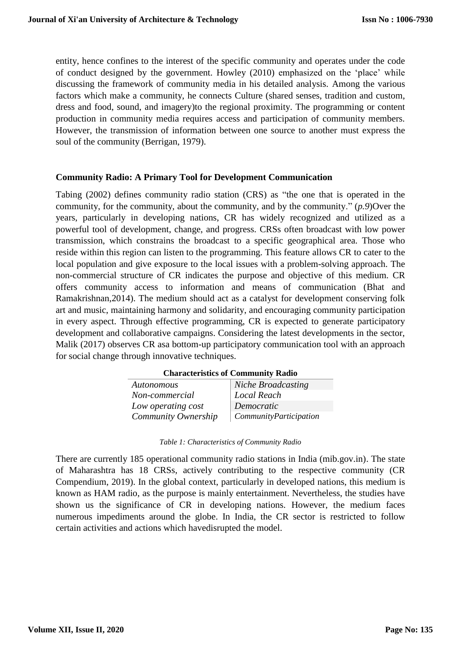entity, hence confines to the interest of the specific community and operates under the code of conduct designed by the government. Howley (2010) emphasized on the 'place' while discussing the framework of community media in his detailed analysis. Among the various factors which make a community, he connects Culture (shared senses, tradition and custom, dress and food, sound, and imagery)to the regional proximity. The programming or content production in community media requires access and participation of community members. However, the transmission of information between one source to another must express the soul of the community (Berrigan, 1979).

# **Community Radio: A Primary Tool for Development Communication**

Tabing (2002) defines community radio station (CRS) as "the one that is operated in the community, for the community, about the community, and by the community." (*p.9*)Over the years, particularly in developing nations, CR has widely recognized and utilized as a powerful tool of development, change, and progress. CRSs often broadcast with low power transmission, which constrains the broadcast to a specific geographical area. Those who reside within this region can listen to the programming. This feature allows CR to cater to the local population and give exposure to the local issues with a problem-solving approach. The non-commercial structure of CR indicates the purpose and objective of this medium. CR offers community access to information and means of communication (Bhat and Ramakrishnan,2014). The medium should act as a catalyst for development conserving folk art and music, maintaining harmony and solidarity, and encouraging community participation in every aspect. Through effective programming, CR is expected to generate participatory development and collaborative campaigns. Considering the latest developments in the sector, Malik (2017) observes CR asa bottom-up participatory communication tool with an approach for social change through innovative techniques.

**Characteristics of Community Radio**

| Autonomous          | Niche Broadcasting     |
|---------------------|------------------------|
| Non-commercial      | Local Reach            |
| Low operating cost  | Democratic             |
| Community Ownership | CommunityParticipation |

| Table 1: Characteristics of Community Radio |  |
|---------------------------------------------|--|
|---------------------------------------------|--|

There are currently 185 operational community radio stations in India (mib.gov.in). The state of Maharashtra has 18 CRSs, actively contributing to the respective community (CR Compendium, 2019). In the global context, particularly in developed nations, this medium is known as HAM radio, as the purpose is mainly entertainment. Nevertheless, the studies have shown us the significance of CR in developing nations. However, the medium faces numerous impediments around the globe. In India, the CR sector is restricted to follow certain activities and actions which havedisrupted the model.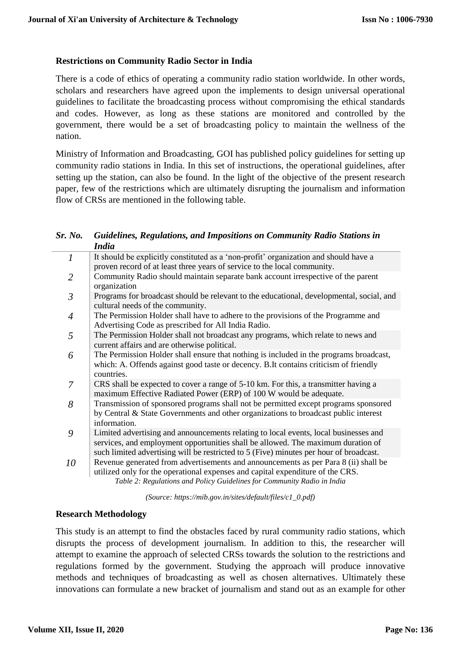# **Restrictions on Community Radio Sector in India**

There is a code of ethics of operating a community radio station worldwide. In other words, scholars and researchers have agreed upon the implements to design universal operational guidelines to facilitate the broadcasting process without compromising the ethical standards and codes. However, as long as these stations are monitored and controlled by the government, there would be a set of broadcasting policy to maintain the wellness of the nation.

Ministry of Information and Broadcasting, GOI has published policy guidelines for setting up community radio stations in India. In this set of instructions, the operational guidelines, after setting up the station, can also be found. In the light of the objective of the present research paper, few of the restrictions which are ultimately disrupting the journalism and information flow of CRSs are mentioned in the following table.

#### *Sr. No. Guidelines, Regulations, and Impositions on Community Radio Stations in India*

| $\mathcal{I}$  | It should be explicitly constituted as a 'non-profit' organization and should have a<br>proven record of at least three years of service to the local community.                                                                                                   |
|----------------|--------------------------------------------------------------------------------------------------------------------------------------------------------------------------------------------------------------------------------------------------------------------|
| $\overline{2}$ | Community Radio should maintain separate bank account irrespective of the parent<br>organization                                                                                                                                                                   |
| $\mathfrak{Z}$ | Programs for broadcast should be relevant to the educational, developmental, social, and<br>cultural needs of the community.                                                                                                                                       |
| $\overline{4}$ | The Permission Holder shall have to adhere to the provisions of the Programme and<br>Advertising Code as prescribed for All India Radio.                                                                                                                           |
| 5              | The Permission Holder shall not broadcast any programs, which relate to news and<br>current affairs and are otherwise political.                                                                                                                                   |
| 6              | The Permission Holder shall ensure that nothing is included in the programs broadcast,<br>which: A. Offends against good taste or decency. B.It contains criticism of friendly<br>countries.                                                                       |
| 7              | CRS shall be expected to cover a range of 5-10 km. For this, a transmitter having a<br>maximum Effective Radiated Power (ERP) of 100 W would be adequate.                                                                                                          |
| 8              | Transmission of sponsored programs shall not be permitted except programs sponsored<br>by Central & State Governments and other organizations to broadcast public interest<br>information.                                                                         |
| 9              | Limited advertising and announcements relating to local events, local businesses and<br>services, and employment opportunities shall be allowed. The maximum duration of<br>such limited advertising will be restricted to 5 (Five) minutes per hour of broadcast. |
| 10             | Revenue generated from advertisements and announcements as per Para 8 (ii) shall be<br>utilized only for the operational expenses and capital expenditure of the CRS.<br>Table 2: Regulations and Policy Guidelines for Community Radio in India                   |

*(Source: https://mib.gov.in/sites/default/files/c1\_0.pdf)*

# **Research Methodology**

This study is an attempt to find the obstacles faced by rural community radio stations, which disrupts the process of development journalism. In addition to this, the researcher will attempt to examine the approach of selected CRSs towards the solution to the restrictions and regulations formed by the government. Studying the approach will produce innovative methods and techniques of broadcasting as well as chosen alternatives. Ultimately these innovations can formulate a new bracket of journalism and stand out as an example for other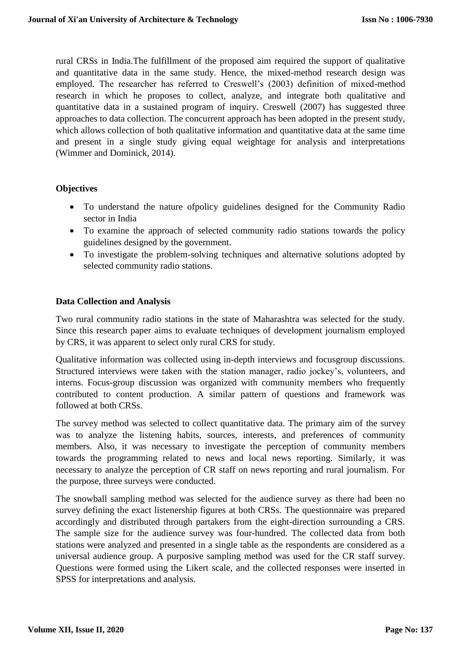rural CRSs in India.The fulfillment of the proposed aim required the support of qualitative and quantitative data in the same study. Hence, the mixed-method research design was employed. The researcher has referred to Creswell's (2003) definition of mixed-method research in which he proposes to collect, analyze, and integrate both qualitative and quantitative data in a sustained program of inquiry. Creswell (2007) has suggested three approaches to data collection. The concurrent approach has been adopted in the present study, which allows collection of both qualitative information and quantitative data at the same time and present in a single study giving equal weightage for analysis and interpretations (Wimmer and Dominick, 2014).

# **Objectives**

- To understand the nature ofpolicy guidelines designed for the Community Radio sector in India
- To examine the approach of selected community radio stations towards the policy guidelines designed by the government.
- To investigate the problem-solving techniques and alternative solutions adopted by selected community radio stations.

# **Data Collection and Analysis**

Two rural community radio stations in the state of Maharashtra was selected for the study. Since this research paper aims to evaluate techniques of development journalism employed by CRS, it was apparent to select only rural CRS for study.

Qualitative information was collected using in-depth interviews and focusgroup discussions. Structured interviews were taken with the station manager, radio jockey's, volunteers, and interns. Focus-group discussion was organized with community members who frequently contributed to content production. A similar pattern of questions and framework was followed at both CRSs.

The survey method was selected to collect quantitative data. The primary aim of the survey was to analyze the listening habits, sources, interests, and preferences of community members. Also, it was necessary to investigate the perception of community members towards the programming related to news and local news reporting. Similarly, it was necessary to analyze the perception of CR staff on news reporting and rural journalism. For the purpose, three surveys were conducted.

The snowball sampling method was selected for the audience survey as there had been no survey defining the exact listenership figures at both CRSs. The questionnaire was prepared accordingly and distributed through partakers from the eight-direction surrounding a CRS. The sample size for the audience survey was four-hundred. The collected data from both stations were analyzed and presented in a single table as the respondents are considered as a universal audience group. A purposive sampling method was used for the CR staff survey. Questions were formed using the Likert scale, and the collected responses were inserted in SPSS for interpretations and analysis.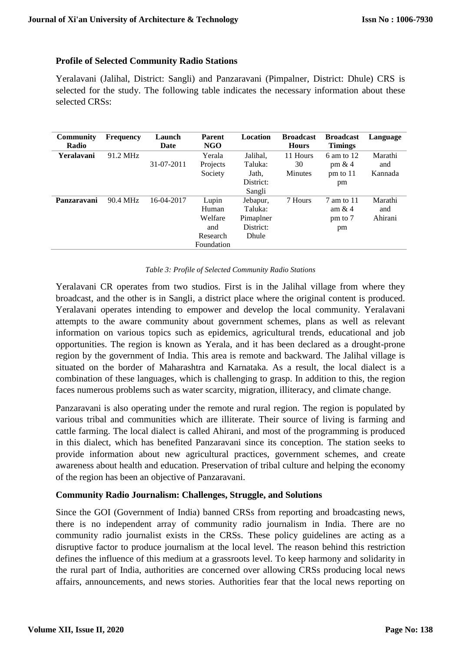# **Profile of Selected Community Radio Stations**

Yeralavani (Jalihal, District: Sangli) and Panzaravani (Pimpalner, District: Dhule) CRS is selected for the study. The following table indicates the necessary information about these selected CRSs:

| Community<br>Radio | <b>Frequency</b> | Launch<br>Date | <b>Parent</b><br><b>NGO</b> | Location  | <b>Broadcast</b><br><b>Hours</b> | <b>Broadcast</b><br><b>Timings</b> | Language |
|--------------------|------------------|----------------|-----------------------------|-----------|----------------------------------|------------------------------------|----------|
| Yeralavani         | 91.2 MHz         |                | Yerala                      | Jalihal.  | 11 Hours                         | 6 am to 12                         | Marathi  |
|                    |                  | 31-07-2011     | Projects                    | Taluka:   | 30                               | pm $& 4$                           | and      |
|                    |                  |                | Society                     | Jath,     | <b>Minutes</b>                   | $pm$ to 11                         | Kannada  |
|                    |                  |                |                             | District: |                                  | pm                                 |          |
|                    |                  |                |                             | Sangli    |                                  |                                    |          |
| Panzaravani        | 90.4 MHz         | 16-04-2017     | Lupin                       | Jebapur,  | 7 Hours                          | $7 \text{ am to } 11$              | Marathi  |
|                    |                  |                | Human                       | Taluka:   |                                  | am $& 4$                           | and      |
|                    |                  |                | Welfare                     | Pimaplner |                                  | pm to 7                            | Ahirani  |
|                    |                  |                | and                         | District: |                                  | pm                                 |          |
|                    |                  |                | Research                    | Dhule     |                                  |                                    |          |
|                    |                  |                | Foundation                  |           |                                  |                                    |          |

#### *Table 3: Profile of Selected Community Radio Stations*

Yeralavani CR operates from two studios. First is in the Jalihal village from where they broadcast, and the other is in Sangli, a district place where the original content is produced. Yeralavani operates intending to empower and develop the local community. Yeralavani attempts to the aware community about government schemes, plans as well as relevant information on various topics such as epidemics, agricultural trends, educational and job opportunities. The region is known as Yerala, and it has been declared as a drought-prone region by the government of India. This area is remote and backward. The Jalihal village is situated on the border of Maharashtra and Karnataka. As a result, the local dialect is a combination of these languages, which is challenging to grasp. In addition to this, the region faces numerous problems such as water scarcity, migration, illiteracy, and climate change.

Panzaravani is also operating under the remote and rural region. The region is populated by various tribal and communities which are illiterate. Their source of living is farming and cattle farming. The local dialect is called Ahirani, and most of the programming is produced in this dialect, which has benefited Panzaravani since its conception. The station seeks to provide information about new agricultural practices, government schemes, and create awareness about health and education. Preservation of tribal culture and helping the economy of the region has been an objective of Panzaravani.

# **Community Radio Journalism: Challenges, Struggle, and Solutions**

Since the GOI (Government of India) banned CRSs from reporting and broadcasting news, there is no independent array of community radio journalism in India. There are no community radio journalist exists in the CRSs. These policy guidelines are acting as a disruptive factor to produce journalism at the local level. The reason behind this restriction defines the influence of this medium at a grassroots level. To keep harmony and solidarity in the rural part of India, authorities are concerned over allowing CRSs producing local news affairs, announcements, and news stories. Authorities fear that the local news reporting on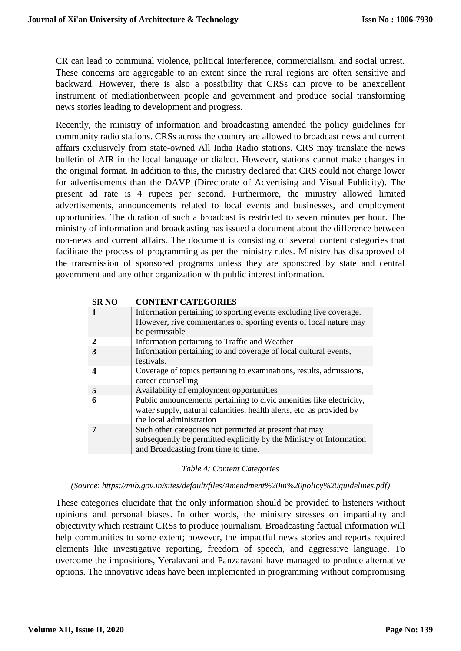CR can lead to communal violence, political interference, commercialism, and social unrest. These concerns are aggregable to an extent since the rural regions are often sensitive and backward. However, there is also a possibility that CRSs can prove to be anexcellent instrument of mediationbetween people and government and produce social transforming news stories leading to development and progress.

Recently, the ministry of information and broadcasting amended the policy guidelines for community radio stations. CRSs across the country are allowed to broadcast news and current affairs exclusively from state-owned All India Radio stations. CRS may translate the news bulletin of AIR in the local language or dialect. However, stations cannot make changes in the original format. In addition to this, the ministry declared that CRS could not charge lower for advertisements than the DAVP (Directorate of Advertising and Visual Publicity). The present ad rate is 4 rupees per second. Furthermore, the ministry allowed limited advertisements, announcements related to local events and businesses, and employment opportunities. The duration of such a broadcast is restricted to seven minutes per hour. The ministry of information and broadcasting has issued a document about the difference between non-news and current affairs. The document is consisting of several content categories that facilitate the process of programming as per the ministry rules. Ministry has disapproved of the transmission of sponsored programs unless they are sponsored by state and central government and any other organization with public interest information.

| <b>SRNO</b> | <b>CONTENT CATEGORIES</b>                                                                                                                                                |
|-------------|--------------------------------------------------------------------------------------------------------------------------------------------------------------------------|
|             | Information pertaining to sporting events excluding live coverage.<br>However, rive commentaries of sporting events of local nature may<br>be permissible                |
| 2           | Information pertaining to Traffic and Weather                                                                                                                            |
|             | Information pertaining to and coverage of local cultural events,<br>festivals.                                                                                           |
|             | Coverage of topics pertaining to examinations, results, admissions,<br>career counselling                                                                                |
| -5          | Availability of employment opportunities                                                                                                                                 |
| 6           | Public announcements pertaining to civic amenities like electricity,<br>water supply, natural calamities, health alerts, etc. as provided by<br>the local administration |
|             | Such other categories not permitted at present that may<br>subsequently be permitted explicitly by the Ministry of Information<br>and Broadcasting from time to time.    |

#### *Table 4: Content Categories*

*(Source*: *https://mib.gov.in/sites/default/files/Amendment%20in%20policy%20guidelines.pdf)*

These categories elucidate that the only information should be provided to listeners without opinions and personal biases. In other words, the ministry stresses on impartiality and objectivity which restraint CRSs to produce journalism. Broadcasting factual information will help communities to some extent; however, the impactful news stories and reports required elements like investigative reporting, freedom of speech, and aggressive language. To overcome the impositions, Yeralavani and Panzaravani have managed to produce alternative options. The innovative ideas have been implemented in programming without compromising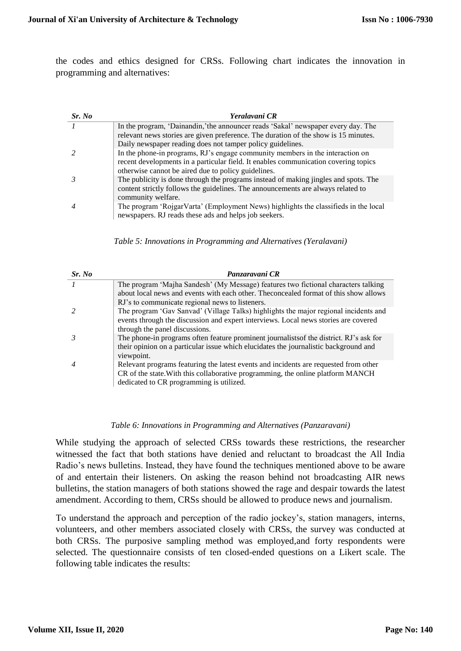the codes and ethics designed for CRSs. Following chart indicates the innovation in programming and alternatives:

| Sr. No | Yeralavani CR                                                                                                                                                        |
|--------|----------------------------------------------------------------------------------------------------------------------------------------------------------------------|
|        | In the program, 'Dainandin,'the announcer reads 'Sakal' newspaper every day. The                                                                                     |
|        | relevant news stories are given preference. The duration of the show is 15 minutes.                                                                                  |
|        | Daily newspaper reading does not tamper policy guidelines.                                                                                                           |
|        | In the phone-in programs, RJ's engage community members in the interaction on<br>recent developments in a particular field. It enables communication covering topics |
|        | otherwise cannot be aired due to policy guidelines.<br>The publicity is done through the programs instead of making jingles and spots. The                           |
|        | content strictly follows the guidelines. The announcements are always related to<br>community welfare.                                                               |
|        | The program 'RojgarVarta' (Employment News) highlights the classifieds in the local<br>newspapers. RJ reads these ads and helps job seekers.                         |

*Table 5: Innovations in Programming and Alternatives (Yeralavani)*

| Sr. No         | Panzaravani CR                                                                          |
|----------------|-----------------------------------------------------------------------------------------|
|                | The program 'Majha Sandesh' (My Message) features two fictional characters talking      |
|                | about local news and events with each other. The concealed format of this show allows   |
|                | RJ's to communicate regional news to listeners.                                         |
|                | The program 'Gav Sanvad' (Village Talks) highlights the major regional incidents and    |
|                | events through the discussion and expert interviews. Local news stories are covered     |
|                | through the panel discussions.                                                          |
|                | The phone-in programs often feature prominent journalists of the district. RJ's ask for |
|                | their opinion on a particular issue which elucidates the journalistic background and    |
|                | viewpoint.                                                                              |
| $\overline{4}$ | Relevant programs featuring the latest events and incidents are requested from other    |
|                | CR of the state. With this collaborative programming, the online platform MANCH         |
|                | dedicated to CR programming is utilized.                                                |

#### *Table 6: Innovations in Programming and Alternatives (Panzaravani)*

While studying the approach of selected CRSs towards these restrictions, the researcher witnessed the fact that both stations have denied and reluctant to broadcast the All India Radio's news bulletins. Instead, they have found the techniques mentioned above to be aware of and entertain their listeners. On asking the reason behind not broadcasting AIR news bulletins, the station managers of both stations showed the rage and despair towards the latest amendment. According to them, CRSs should be allowed to produce news and journalism.

To understand the approach and perception of the radio jockey's, station managers, interns, volunteers, and other members associated closely with CRSs, the survey was conducted at both CRSs. The purposive sampling method was employed,and forty respondents were selected. The questionnaire consists of ten closed-ended questions on a Likert scale. The following table indicates the results: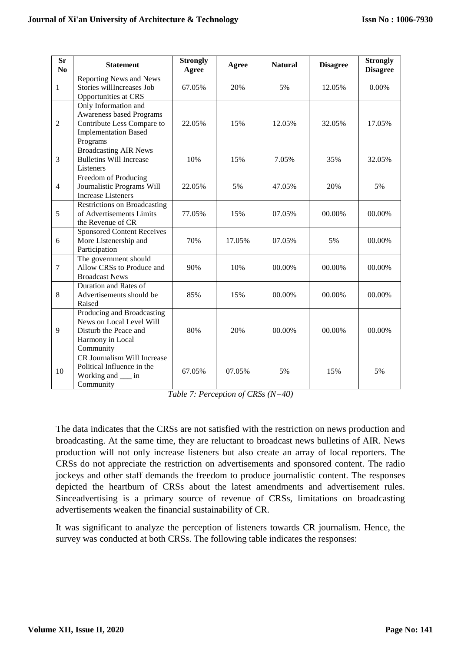| <b>Sr</b><br>No | <b>Statement</b>                                                                                                                 | <b>Strongly</b><br>Agree | Agree  | <b>Natural</b> | <b>Disagree</b> | <b>Strongly</b><br><b>Disagree</b> |
|-----------------|----------------------------------------------------------------------------------------------------------------------------------|--------------------------|--------|----------------|-----------------|------------------------------------|
| 1               | Reporting News and News<br>Stories willIncreases Job<br>Opportunities at CRS                                                     | 67.05%                   | 20%    | 5%             | 12.05%          | 0.00%                              |
| $\overline{2}$  | Only Information and<br><b>Awareness based Programs</b><br>Contribute Less Compare to<br><b>Implementation Based</b><br>Programs | 22.05%                   | 15%    | 12.05%         | 32.05%          | 17.05%                             |
| 3               | <b>Broadcasting AIR News</b><br><b>Bulletins Will Increase</b><br>Listeners                                                      | 10%                      | 15%    | 7.05%          | 35%             | 32.05%                             |
| $\overline{4}$  | Freedom of Producing<br>Journalistic Programs Will<br><b>Increase Listeners</b>                                                  | 22.05%                   | 5%     | 47.05%         | 20%             | 5%                                 |
| 5               | <b>Restrictions on Broadcasting</b><br>of Advertisements Limits<br>the Revenue of CR                                             | 77.05%                   | 15%    | 07.05%         | 00.00%          | 00.00%                             |
| 6               | <b>Sponsored Content Receives</b><br>More Listenership and<br>Participation                                                      | 70%                      | 17.05% | 07.05%         | 5%              | 00.00%                             |
| $\tau$          | The government should<br>Allow CRSs to Produce and<br><b>Broadcast News</b>                                                      | 90%                      | 10%    | 00.00%         | 00.00%          | 00.00%                             |
| 8               | Duration and Rates of<br>Advertisements should be<br>Raised                                                                      | 85%                      | 15%    | 00.00%         | 00.00%          | 00.00%                             |
| 9               | Producing and Broadcasting<br>News on Local Level Will<br>Disturb the Peace and<br>Harmony in Local<br>Community                 | 80%                      | 20%    | 00.00%         | 00.00%          | 00.00%                             |
| 10              | <b>CR Journalism Will Increase</b><br>Political Influence in the<br>Working and ___ in<br>Community                              | 67.05%                   | 07.05% | 5%             | 15%             | 5%                                 |

*Table 7: Perception of CRSs (N=40)*

The data indicates that the CRSs are not satisfied with the restriction on news production and broadcasting. At the same time, they are reluctant to broadcast news bulletins of AIR. News production will not only increase listeners but also create an array of local reporters. The CRSs do not appreciate the restriction on advertisements and sponsored content. The radio jockeys and other staff demands the freedom to produce journalistic content. The responses depicted the heartburn of CRSs about the latest amendments and advertisement rules. Sinceadvertising is a primary source of revenue of CRSs, limitations on broadcasting advertisements weaken the financial sustainability of CR.

It was significant to analyze the perception of listeners towards CR journalism. Hence, the survey was conducted at both CRSs. The following table indicates the responses: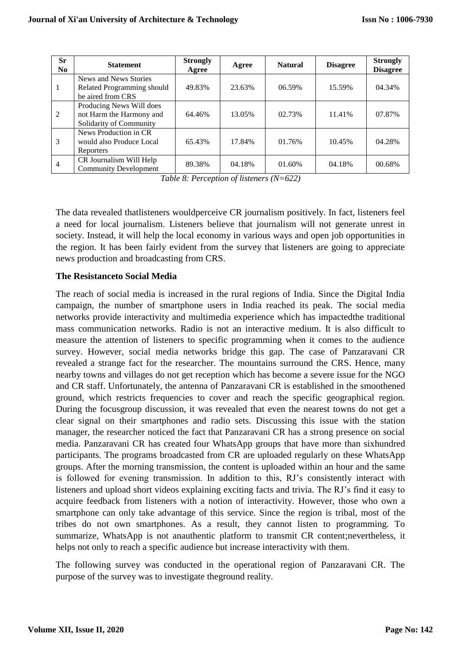| <b>Sr</b><br>N <sub>0</sub> | <b>Statement</b>                                                                                     | <b>Strongly</b><br>Agree | Agree  | <b>Natural</b> | <b>Disagree</b> | <b>Strongly</b><br><b>Disagree</b> |
|-----------------------------|------------------------------------------------------------------------------------------------------|--------------------------|--------|----------------|-----------------|------------------------------------|
| 1                           | News and News Stories<br>Related Programming should                                                  | 49.83%                   | 23.63% | 06.59%         | 15.59%          | 04.34%                             |
| 2                           | be aired from CRS<br>Producing News Will does<br>not Harm the Harmony and<br>Solidarity of Community | 64.46%                   | 13.05% | 02.73%         | 11.41%          | 07.87%                             |
| 3                           | News Production in CR<br>would also Produce Local<br>Reporters                                       | 65.43%                   | 17.84% | 01.76%         | 10.45%          | 04.28%                             |
| $\overline{4}$              | CR Journalism Will Help<br><b>Community Development</b>                                              | 89.38%                   | 04.18% | 01.60%         | 04.18%          | 00.68%                             |

*Table 8: Perception of listeners (N=622)*

The data revealed thatlisteners wouldperceive CR journalism positively. In fact, listeners feel a need for local journalism. Listeners believe that journalism will not generate unrest in society. Instead, it will help the local economy in various ways and open job opportunities in the region. It has been fairly evident from the survey that listeners are going to appreciate news production and broadcasting from CRS.

# **The Resistanceto Social Media**

The reach of social media is increased in the rural regions of India. Since the Digital India campaign, the number of smartphone users in India reached its peak. The social media networks provide interactivity and multimedia experience which has impactedthe traditional mass communication networks. Radio is not an interactive medium. It is also difficult to measure the attention of listeners to specific programming when it comes to the audience survey. However, social media networks bridge this gap. The case of Panzaravani CR revealed a strange fact for the researcher. The mountains surround the CRS. Hence, many nearby towns and villages do not get reception which has become a severe issue for the NGO and CR staff. Unfortunately, the antenna of Panzaravani CR is established in the smoothened ground, which restricts frequencies to cover and reach the specific geographical region. During the focusgroup discussion, it was revealed that even the nearest towns do not get a clear signal on their smartphones and radio sets. Discussing this issue with the station manager, the researcher noticed the fact that Panzaravani CR has a strong presence on social media. Panzaravani CR has created four WhatsApp groups that have more than sixhundred participants. The programs broadcasted from CR are uploaded regularly on these WhatsApp groups. After the morning transmission, the content is uploaded within an hour and the same is followed for evening transmission. In addition to this, RJ's consistently interact with listeners and upload short videos explaining exciting facts and trivia. The RJ's find it easy to acquire feedback from listeners with a notion of interactivity. However, those who own a smartphone can only take advantage of this service. Since the region is tribal, most of the tribes do not own smartphones. As a result, they cannot listen to programming. To summarize, WhatsApp is not anauthentic platform to transmit CR content;nevertheless, it helps not only to reach a specific audience but increase interactivity with them.

The following survey was conducted in the operational region of Panzaravani CR. The purpose of the survey was to investigate theground reality.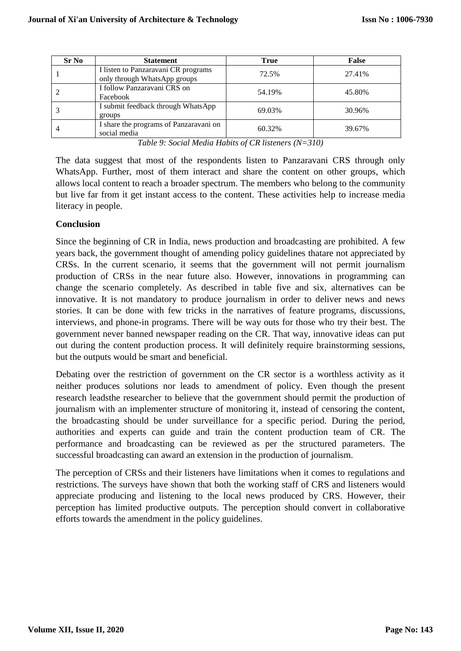| <b>Sr No</b> | <b>Statement</b>                                                    | <b>True</b> | False  |
|--------------|---------------------------------------------------------------------|-------------|--------|
|              | I listen to Panzaravani CR programs<br>only through WhatsApp groups | 72.5%       | 27.41% |
|              | I follow Panzaravani CRS on<br>Facebook                             | 54.19%      | 45.80% |
|              | I submit feedback through WhatsApp<br>groups                        | 69.03%      | 30.96% |
| 4            | I share the programs of Panzaravani on<br>social media              | 60.32%      | 39.67% |

*Table 9: Social Media Habits of CR listeners (N=310)*

The data suggest that most of the respondents listen to Panzaravani CRS through only WhatsApp. Further, most of them interact and share the content on other groups, which allows local content to reach a broader spectrum. The members who belong to the community but live far from it get instant access to the content. These activities help to increase media literacy in people.

# **Conclusion**

Since the beginning of CR in India, news production and broadcasting are prohibited. A few years back, the government thought of amending policy guidelines thatare not appreciated by CRSs. In the current scenario, it seems that the government will not permit journalism production of CRSs in the near future also. However, innovations in programming can change the scenario completely. As described in table five and six, alternatives can be innovative. It is not mandatory to produce journalism in order to deliver news and news stories. It can be done with few tricks in the narratives of feature programs, discussions, interviews, and phone-in programs. There will be way outs for those who try their best. The government never banned newspaper reading on the CR. That way, innovative ideas can put out during the content production process. It will definitely require brainstorming sessions, but the outputs would be smart and beneficial.

Debating over the restriction of government on the CR sector is a worthless activity as it neither produces solutions nor leads to amendment of policy. Even though the present research leadsthe researcher to believe that the government should permit the production of journalism with an implementer structure of monitoring it, instead of censoring the content, the broadcasting should be under surveillance for a specific period. During the period, authorities and experts can guide and train the content production team of CR. The performance and broadcasting can be reviewed as per the structured parameters. The successful broadcasting can award an extension in the production of journalism.

The perception of CRSs and their listeners have limitations when it comes to regulations and restrictions. The surveys have shown that both the working staff of CRS and listeners would appreciate producing and listening to the local news produced by CRS. However, their perception has limited productive outputs. The perception should convert in collaborative efforts towards the amendment in the policy guidelines.